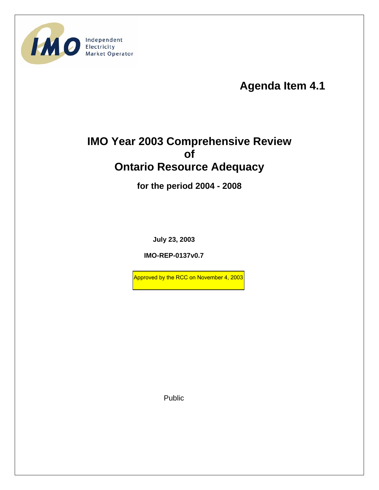

**Agenda Item 4.1** 

# **IMO Year 2003 Comprehensive Review of Ontario Resource Adequacy**

**for the period 2004 - 2008**

**July 23, 2003** 

**IMO-REP-0137v0.7** 

Approved by the RCC on November 4, 2003

Public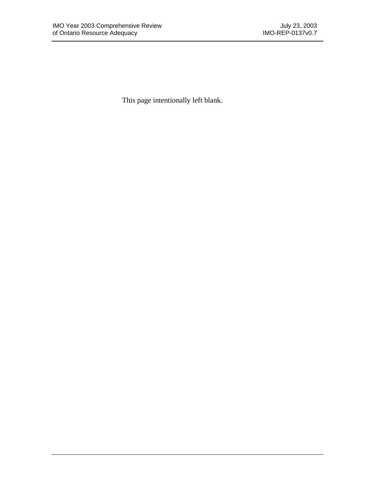This page intentionally left blank.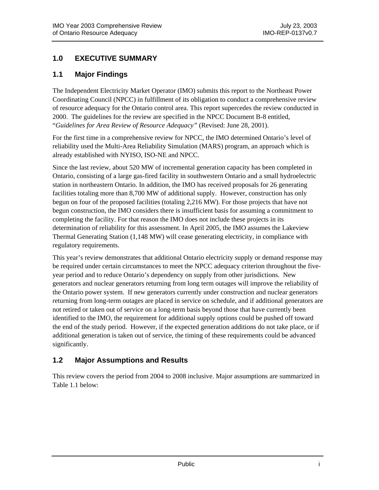### <span id="page-2-0"></span>**1.0 EXECUTIVE SUMMARY**

#### **1.1 Major Findings**

The Independent Electricity Market Operator (IMO) submits this report to the Northeast Power Coordinating Council (NPCC) in fulfillment of its obligation to conduct a comprehensive review of resource adequacy for the Ontario control area. This report supercedes the review conducted in 2000. The guidelines for the review are specified in the NPCC Document B-8 entitled, "*Guidelines for Area Review of Resource Adequacy"* (Revised: June 28, 2001).

For the first time in a comprehensive review for NPCC, the IMO determined Ontario's level of reliability used the Multi-Area Reliability Simulation (MARS) program, an approach which is already established with NYISO, ISO-NE and NPCC.

Since the last review, about 520 MW of incremental generation capacity has been completed in Ontario, consisting of a large gas-fired facility in southwestern Ontario and a small hydroelectric station in northeastern Ontario. In addition, the IMO has received proposals for 26 generating facilities totaling more than 8,700 MW of additional supply. However, construction has only begun on four of the proposed facilities (totaling 2,216 MW). For those projects that have not begun construction, the IMO considers there is insufficient basis for assuming a commitment to completing the facility. For that reason the IMO does not include these projects in its determination of reliability for this assessment. In April 2005, the IMO assumes the Lakeview Thermal Generating Station (1,148 MW) will cease generating electricity, in compliance with regulatory requirements.

This year's review demonstrates that additional Ontario electricity supply or demand response may be required under certain circumstances to meet the NPCC adequacy criterion throughout the fiveyear period and to reduce Ontario's dependency on supply from other jurisdictions. New generators and nuclear generators returning from long term outages will improve the reliability of the Ontario power system. If new generators currently under construction and nuclear generators returning from long-term outages are placed in service on schedule, and if additional generators are not retired or taken out of service on a long-term basis beyond those that have currently been identified to the IMO, the requirement for additional supply options could be pushed off toward the end of the study period. However, if the expected generation additions do not take place, or if additional generation is taken out of service, the timing of these requirements could be advanced significantly.

#### **1.2 Major Assumptions and Results**

This review covers the period from 2004 to 2008 inclusive. Major assumptions are summarized in Table 1.1 below: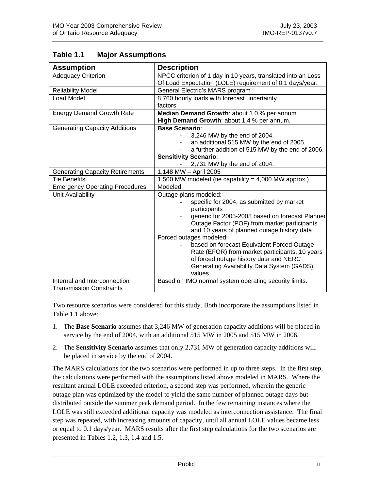| NPCC criterion of 1 day in 10 years, translated into an Loss                         |
|--------------------------------------------------------------------------------------|
| Of Load Expectation (LOLE) requirement of 0.1 days/year.                             |
| General Electric's MARS program                                                      |
| 8,760 hourly loads with forecast uncertainty                                         |
|                                                                                      |
| Median Demand Growth: about 1.0 % per annum.                                         |
| High Demand Growth: about 1.4 % per annum.                                           |
| <b>Base Scenario:</b>                                                                |
| 3,246 MW by the end of 2004.                                                         |
| an additional 515 MW by the end of 2005.                                             |
| a further addition of 515 MW by the end of 2006.                                     |
| <b>Sensitivity Scenario:</b>                                                         |
| 2,731 MW by the end of 2004.                                                         |
| 1,148 MW - April 2005                                                                |
| 1,500 MW modeled (tie capability = $4,000$ MW approx.)                               |
|                                                                                      |
| Outage plans modeled:                                                                |
| specific for 2004, as submitted by market                                            |
| participants                                                                         |
| generic for 2005-2008 based on forecast Planned                                      |
| Outage Factor (POF) from market participants                                         |
| and 10 years of planned outage history data                                          |
| Forced outages modeled:                                                              |
| based on forecast Equivalent Forced Outage                                           |
| Rate (EFOR) from market participants, 10 years                                       |
| of forced outage history data and NERC<br>Generating Availability Data System (GADS) |
| values                                                                               |
| Based on IMO normal system operating security limits.                                |
|                                                                                      |
|                                                                                      |

#### <span id="page-3-0"></span>**Table 1.1 Major Assumptions**

Two resource scenarios were considered for this study. Both incorporate the assumptions listed in Table 1.1 above:

- 1. The **Base Scenario** assumes that 3,246 MW of generation capacity additions will be placed in service by the end of 2004, with an additional 515 MW in 2005 and 515 MW in 2006.
- 2. The **Sensitivity Scenario** assumes that only 2,731 MW of generation capacity additions will be placed in service by the end of 2004.

The MARS calculations for the two scenarios were performed in up to three steps. In the first step, the calculations were performed with the assumptions listed above modeled in MARS. Where the resultant annual LOLE exceeded criterion, a second step was performed, wherein the generic outage plan was optimized by the model to yield the same number of planned outage days but distributed outside the summer peak demand period. In the few remaining instances where the LOLE was still exceeded additional capacity was modeled as interconnection assistance. The final step was repeated, with increasing amounts of capacity, until all annual LOLE values became less or equal to 0.1 days/year. MARS results after the first step calculations for the two scenarios are presented in Tables 1.2, 1.3, 1.4 and 1.5.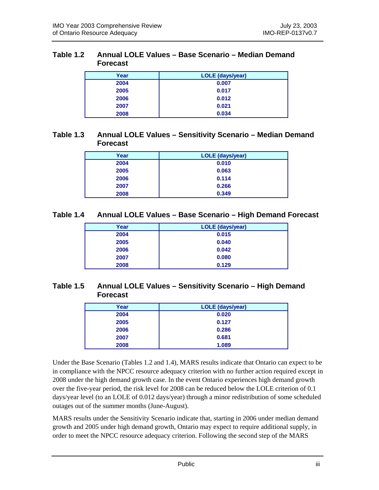#### <span id="page-4-0"></span>**Table 1.2 Annual LOLE Values – Base Scenario – Median Demand Forecast**

| Year | LOLE (days/year) |
|------|------------------|
| 2004 | 0.007            |
| 2005 | 0.017            |
| 2006 | 0.012            |
| 2007 | 0.021            |
| 2008 | 0.034            |

#### **Table 1.3 Annual LOLE Values – Sensitivity Scenario – Median Demand Forecast**

| Year | LOLE (days/year) |
|------|------------------|
| 2004 | 0.010            |
| 2005 | 0.063            |
| 2006 | 0.114            |
| 2007 | 0.266            |
| 2008 | 0.349            |

#### **Table 1.4 Annual LOLE Values – Base Scenario – High Demand Forecast**

| Year | LOLE (days/year) |
|------|------------------|
| 2004 | 0.015            |
| 2005 | 0.040            |
| 2006 | 0.042            |
| 2007 | 0.080            |
| 2008 | 0.129            |

#### **Table 1.5 Annual LOLE Values – Sensitivity Scenario – High Demand Forecast**

| Year | LOLE (days/year) |
|------|------------------|
| 2004 | 0.020            |
| 2005 | 0.127            |
| 2006 | 0.286            |
| 2007 | 0.681            |
| 2008 | 1.089            |

Under the Base Scenario (Tables 1.2 and 1.4), MARS results indicate that Ontario can expect to be in compliance with the NPCC resource adequacy criterion with no further action required except in 2008 under the high demand growth case. In the event Ontario experiences high demand growth over the five-year period, the risk level for 2008 can be reduced below the LOLE criterion of 0.1 days/year level (to an LOLE of 0.012 days/year) through a minor redistribution of some scheduled outages out of the summer months (June-August).

MARS results under the Sensitivity Scenario indicate that, starting in 2006 under median demand growth and 2005 under high demand growth, Ontario may expect to require additional supply, in order to meet the NPCC resource adequacy criterion. Following the second step of the MARS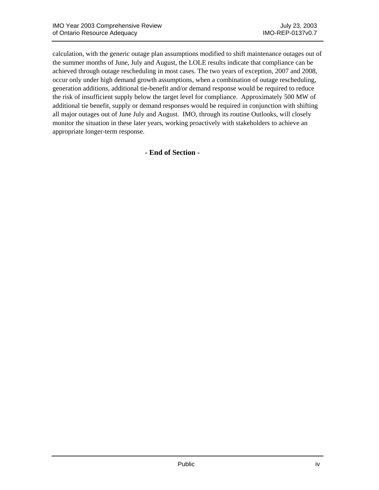calculation, with the generic outage plan assumptions modified to shift maintenance outages out of the summer months of June, July and August, the LOLE results indicate that compliance can be achieved through outage rescheduling in most cases. The two years of exception, 2007 and 2008, occur only under high demand growth assumptions, when a combination of outage rescheduling, generation additions, additional tie-benefit and/or demand response would be required to reduce the risk of insufficient supply below the target level for compliance. Approximately 500 MW of additional tie benefit, supply or demand responses would be required in conjunction with shifting all major outages out of June July and August. IMO, through its routine Outlooks, will closely monitor the situation in these later years, working proactively with stakeholders to achieve an appropriate longer-term response.

**- End of Section -**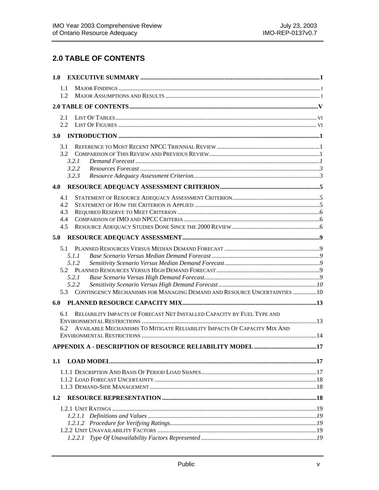# <span id="page-6-0"></span>**2.0 TABLE OF CONTENTS**

| 1.0                                                                             |  |
|---------------------------------------------------------------------------------|--|
| 1.1                                                                             |  |
| 1.2                                                                             |  |
|                                                                                 |  |
| 2.1                                                                             |  |
| 2.2                                                                             |  |
| 3.0                                                                             |  |
|                                                                                 |  |
| 3.1                                                                             |  |
| 3.2<br>3.2.1                                                                    |  |
| 3.2.2                                                                           |  |
| 3.2.3                                                                           |  |
| 4.0                                                                             |  |
|                                                                                 |  |
| 4.1<br>4.2                                                                      |  |
| 4.3                                                                             |  |
| 4.4                                                                             |  |
| 4.5                                                                             |  |
|                                                                                 |  |
| 5.0                                                                             |  |
| 5.1                                                                             |  |
| 5.1.1                                                                           |  |
| 5.1.2                                                                           |  |
| 5.2.1                                                                           |  |
| 5.2.2                                                                           |  |
| 5.3 CONTINGENCY MECHANISMS FOR MANAGING DEMAND AND RESOURCE UNCERTAINTIES 10    |  |
| 6.0                                                                             |  |
|                                                                                 |  |
| RELIABILITY IMPACTS OF FORECAST NET INSTALLED CAPACITY BY FUEL TYPE AND<br>6.1  |  |
| AVAILABLE MECHANISMS TO MITIGATE RELIABILITY IMPACTS OF CAPACITY MIX AND<br>6.2 |  |
|                                                                                 |  |
|                                                                                 |  |
|                                                                                 |  |
| 1.1                                                                             |  |
|                                                                                 |  |
|                                                                                 |  |
|                                                                                 |  |
| 1.2                                                                             |  |
|                                                                                 |  |
|                                                                                 |  |
|                                                                                 |  |
|                                                                                 |  |
|                                                                                 |  |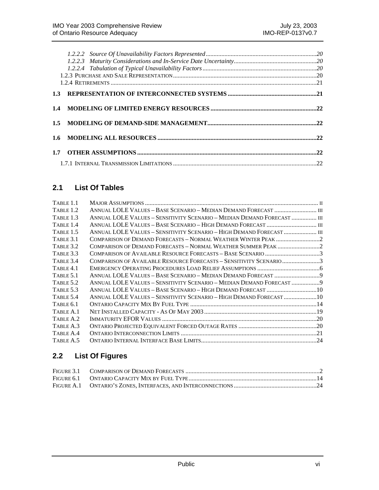<span id="page-7-0"></span>

| 1.3           |  |
|---------------|--|
| 1.4           |  |
| 1.5           |  |
| $1.6^{\circ}$ |  |
| 1.7           |  |
|               |  |

### **2.1 List Of Tables**

| TABLE 1.1 |                                                                         |  |
|-----------|-------------------------------------------------------------------------|--|
| TABLE 1.2 | ANNUAL LOLE VALUES - BASE SCENARIO - MEDIAN DEMAND FORECAST  III        |  |
| TABLE 1.3 | ANNUAL LOLE VALUES - SENSITIVITY SCENARIO - MEDIAN DEMAND FORECAST  III |  |
| TABLE 1.4 |                                                                         |  |
| TABLE 1.5 | ANNUAL LOLE VALUES - SENSITIVITY SCENARIO - HIGH DEMAND FORECAST  III   |  |
| TABLE 3.1 |                                                                         |  |
| TABLE 3.2 |                                                                         |  |
| TABLE 3.3 |                                                                         |  |
| TABLE 3.4 | COMPARISON OF AVAILABLE RESOURCE FORECASTS - SENSITIVITY SCENARIO3      |  |
| TABLE 4.1 |                                                                         |  |
| TABLE 5.1 |                                                                         |  |
| TABLE 5.2 | ANNUAL LOLE VALUES - SENSITIVITY SCENARIO - MEDIAN DEMAND FORECAST 9    |  |
| TABLE 5.3 |                                                                         |  |
| TABLE 5.4 | ANNUAL LOLE VALUES - SENSITIVITY SCENARIO - HIGH DEMAND FORECAST  10    |  |
| TABLE 6.1 |                                                                         |  |
| TABLE A.1 |                                                                         |  |
| TABLE A.2 |                                                                         |  |
| TABLE A.3 |                                                                         |  |
| TABLE A.4 |                                                                         |  |
| TABLE A.5 |                                                                         |  |
|           |                                                                         |  |

# **2.2 List Of Figures**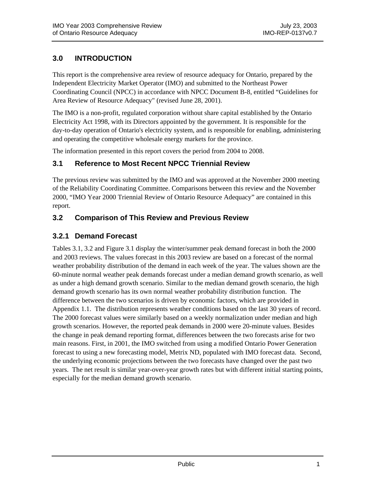### <span id="page-8-0"></span>**3.0 INTRODUCTION**

This report is the comprehensive area review of resource adequacy for Ontario, prepared by the Independent Electricity Market Operator (IMO) and submitted to the Northeast Power Coordinating Council (NPCC) in accordance with NPCC Document B-8, entitled "Guidelines for Area Review of Resource Adequacy" (revised June 28, 2001).

The IMO is a non-profit, regulated corporation without share capital established by the Ontario Electricity Act 1998, with its Directors appointed by the government. It is responsible for the day-to-day operation of Ontario's electricity system, and is responsible for enabling, administering and operating the competitive wholesale energy markets for the province.

The information presented in this report covers the period from 2004 to 2008.

#### **3.1 Reference to Most Recent NPCC Triennial Review**

The previous review was submitted by the IMO and was approved at the November 2000 meeting of the Reliability Coordinating Committee. Comparisons between this review and the November 2000, "IMO Year 2000 Triennial Review of Ontario Resource Adequacy" are contained in this report.

#### **3.2 Comparison of This Review and Previous Review**

### **3.2.1 Demand Forecast**

Tables 3.1, 3.2 and Figure 3.1 display the winter/summer peak demand forecast in both the 2000 and 2003 reviews. The values forecast in this 2003 review are based on a forecast of the normal weather probability distribution of the demand in each week of the year. The values shown are the 60-minute normal weather peak demands forecast under a median demand growth scenario, as well as under a high demand growth scenario. Similar to the median demand growth scenario, the high demand growth scenario has its own normal weather probability distribution function. The difference between the two scenarios is driven by economic factors, which are provided in Appendix 1.1. The distribution represents weather conditions based on the last 30 years of record. The 2000 forecast values were similarly based on a weekly normalization under median and high growth scenarios. However, the reported peak demands in 2000 were 20-minute values. Besides the change in peak demand reporting format, differences between the two forecasts arise for two main reasons. First, in 2001, the IMO switched from using a modified Ontario Power Generation forecast to using a new forecasting model, Metrix ND, populated with IMO forecast data. Second, the underlying economic projections between the two forecasts have changed over the past two years. The net result is similar year-over-year growth rates but with different initial starting points, especially for the median demand growth scenario.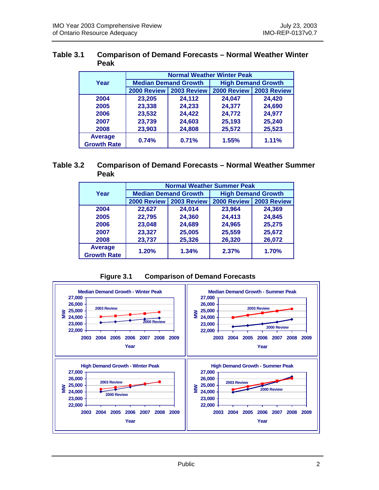#### <span id="page-9-0"></span>**Table 3.1 Comparison of Demand Forecasts – Normal Weather Winter Peak**

|                    | <b>Normal Weather Winter Peak</b> |                             |                           |             |
|--------------------|-----------------------------------|-----------------------------|---------------------------|-------------|
| Year               |                                   | <b>Median Demand Growth</b> | <b>High Demand Growth</b> |             |
|                    | 2000 Review                       | 2003 Review                 | 2000 Review               | 2003 Review |
| 2004               | 23,205                            | 24,112                      | 24,047                    | 24,420      |
| 2005               | 23,338                            | 24,233                      | 24,377                    | 24,690      |
| 2006               | 23,532                            | 24,422                      | 24,772                    | 24,977      |
| 2007               | 23,739                            | 24,603                      | 25,193                    | 25,240      |
| 2008               | 23,903                            | 24,808                      | 25,572                    | 25,523      |
| <b>Average</b>     | 0.74%                             | 0.71%                       | 1.55%                     | 1.11%       |
| <b>Growth Rate</b> |                                   |                             |                           |             |

#### **Table 3.2 Comparison of Demand Forecasts – Normal Weather Summer Peak**

|                                      | <b>Normal Weather Summer Peak</b> |             |             |                           |
|--------------------------------------|-----------------------------------|-------------|-------------|---------------------------|
| Year                                 | <b>Median Demand Growth</b>       |             |             | <b>High Demand Growth</b> |
|                                      | 2000 Review                       | 2003 Review | 2000 Review | 2003 Review               |
| 2004                                 | 22,627                            | 24,014      | 23,964      | 24,369                    |
| 2005                                 | 22,795                            | 24,360      | 24,413      | 24,845                    |
| 2006                                 | 23,048                            | 24,689      | 24,965      | 25,275                    |
| 2007                                 | 23,327                            | 25,005      | 25,559      | 25,672                    |
| 2008                                 | 23,737                            | 25,326      | 26,320      | 26,072                    |
| <b>Average</b><br><b>Growth Rate</b> | 1.20%                             | 1.34%       | 2.37%       | 1.70%                     |

#### **Figure 3.1 Comparison of Demand Forecasts**

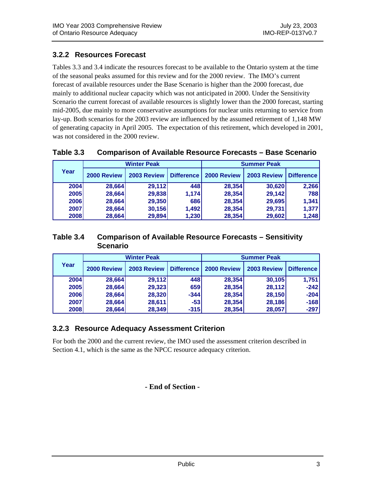### <span id="page-10-0"></span>**3.2.2 Resources Forecast**

Tables 3.3 and 3.4 indicate the resources forecast to be available to the Ontario system at the time of the seasonal peaks assumed for this review and for the 2000 review. The IMO's current forecast of available resources under the Base Scenario is higher than the 2000 forecast, due mainly to additional nuclear capacity which was not anticipated in 2000. Under the Sensitivity Scenario the current forecast of available resources is slightly lower than the 2000 forecast, starting mid-2005, due mainly to more conservative assumptions for nuclear units returning to service from lay-up. Both scenarios for the 2003 review are influenced by the assumed retirement of 1,148 MW of generating capacity in April 2005. The expectation of this retirement, which developed in 2001, was not considered in the 2000 review.

|      |             | <b>Winter Peak</b> |            | <b>Summer Peak</b> |             |                   |
|------|-------------|--------------------|------------|--------------------|-------------|-------------------|
| Year | 2000 Review | 2003 Review        | Difference | 2000 Review        | 2003 Review | <b>Difference</b> |
| 2004 | 28,664      | 29,112             | 448        | 28,354             | 30,620      | 2,266             |
| 2005 | 28,664      | 29,838             | 1.174      | 28,354             | 29,142      | 788               |
| 2006 | 28,664      | 29,350             | 686        | 28,354             | 29,695      | 1,341             |
| 2007 | 28,664      | 30,156             | 1.492      | 28,354             | 29,731      | 1.377             |

**2008 28,664 29,894 1,230 28,354 29,602 1,248**

#### **Table 3.3 Comparison of Available Resource Forecasts – Base Scenario**

#### **Table 3.4 Comparison of Available Resource Forecasts – Sensitivity Scenario**

|      | <b>Winter Peak</b> |             |                   | <b>Summer Peak</b> |             |                   |
|------|--------------------|-------------|-------------------|--------------------|-------------|-------------------|
| Year | 2000 Review        | 2003 Review | <b>Difference</b> | 2000 Review        | 2003 Review | <b>Difference</b> |
| 2004 | 28,664             | 29.112      | 448               | 28.354             | 30,105      | 1,751             |
| 2005 | 28,664             | 29,323      | 659               | 28,354             | 28,112      | $-242$            |
| 2006 | 28,664             | 28,320      | $-344$            | 28,354             | 28,150      | $-204$            |
| 2007 | 28,664             | 28,611      | $-53$             | 28,354             | 28,186      | $-168$            |
| 2008 | 28,664             | 28,349      | $-315$            | 28,354             | 28,057      | $-297$            |

#### **3.2.3 Resource Adequacy Assessment Criterion**

For both the 2000 and the current review, the IMO used the assessment criterion described in Section 4.1, which is the same as the NPCC resource adequacy criterion.

**- End of Section -**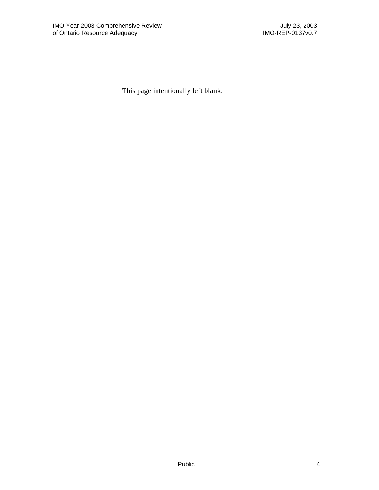This page intentionally left blank.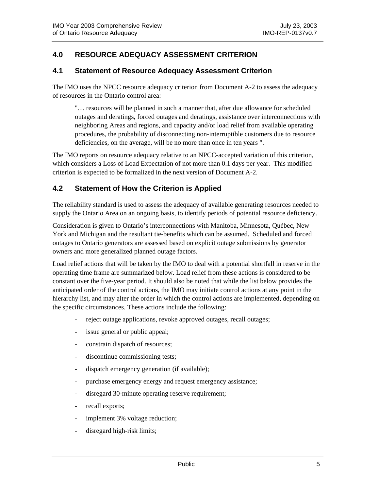### <span id="page-12-0"></span>**4.0 RESOURCE ADEQUACY ASSESSMENT CRITERION**

#### **4.1 Statement of Resource Adequacy Assessment Criterion**

The IMO uses the NPCC resource adequacy criterion from Document A-2 to assess the adequacy of resources in the Ontario control area:

"… resources will be planned in such a manner that, after due allowance for scheduled outages and deratings, forced outages and deratings, assistance over interconnections with neighboring Areas and regions, and capacity and/or load relief from available operating procedures, the probability of disconnecting non-interruptible customers due to resource deficiencies, on the average, will be no more than once in ten years ".

The IMO reports on resource adequacy relative to an NPCC-accepted variation of this criterion, which considers a Loss of Load Expectation of not more than 0.1 days per year. This modified criterion is expected to be formalized in the next version of Document A-2.

#### **4.2 Statement of How the Criterion is Applied**

The reliability standard is used to assess the adequacy of available generating resources needed to supply the Ontario Area on an ongoing basis, to identify periods of potential resource deficiency.

Consideration is given to Ontario's interconnections with Manitoba, Minnesota, Québec, New York and Michigan and the resultant tie-benefits which can be assumed. Scheduled and forced outages to Ontario generators are assessed based on explicit outage submissions by generator owners and more generalized planned outage factors.

Load relief actions that will be taken by the IMO to deal with a potential shortfall in reserve in the operating time frame are summarized below. Load relief from these actions is considered to be constant over the five-year period. It should also be noted that while the list below provides the anticipated order of the control actions, the IMO may initiate control actions at any point in the hierarchy list, and may alter the order in which the control actions are implemented, depending on the specific circumstances. These actions include the following:

- reject outage applications, revoke approved outages, recall outages;
- issue general or public appeal;
- constrain dispatch of resources;
- discontinue commissioning tests;
- dispatch emergency generation (if available);
- purchase emergency energy and request emergency assistance;
- disregard 30-minute operating reserve requirement;
- recall exports;
- implement 3% voltage reduction;
- disregard high-risk limits;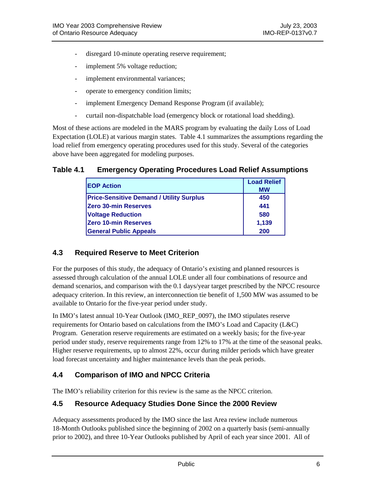- <span id="page-13-0"></span>- disregard 10-minute operating reserve requirement;
- implement 5% voltage reduction;
- implement environmental variances;
- operate to emergency condition limits;
- implement Emergency Demand Response Program (if available);
- curtail non-dispatchable load (emergency block or rotational load shedding).

Most of these actions are modeled in the MARS program by evaluating the daily Loss of Load Expectation (LOLE) at various margin states. Table 4.1 summarizes the assumptions regarding the load relief from emergency operating procedures used for this study. Several of the categories above have been aggregated for modeling purposes.

#### **Table 4.1 Emergency Operating Procedures Load Relief Assumptions**

| <b>IEOP Action</b>                              | <b>Load Relief</b><br><b>MW</b> |
|-------------------------------------------------|---------------------------------|
| <b>Price-Sensitive Demand / Utility Surplus</b> | 450                             |
| <b>IZero 30-min Reserves</b>                    | 441                             |
| <b>Voltage Reduction</b>                        | 580                             |
| <b>Zero 10-min Reserves</b>                     | 1,139                           |
| <b>General Public Appeals</b>                   | 200                             |

#### **4.3 Required Reserve to Meet Criterion**

For the purposes of this study, the adequacy of Ontario's existing and planned resources is assessed through calculation of the annual LOLE under all four combinations of resource and demand scenarios, and comparison with the 0.1 days/year target prescribed by the NPCC resource adequacy criterion. In this review, an interconnection tie benefit of 1,500 MW was assumed to be available to Ontario for the five-year period under study.

In IMO's latest annual 10-Year Outlook (IMO\_REP\_0097), the IMO stipulates reserve requirements for Ontario based on calculations from the IMO's Load and Capacity (L&C) Program. Generation reserve requirements are estimated on a weekly basis; for the five-year period under study, reserve requirements range from 12% to 17% at the time of the seasonal peaks. Higher reserve requirements, up to almost 22%, occur during milder periods which have greater load forecast uncertainty and higher maintenance levels than the peak periods.

#### **4.4 Comparison of IMO and NPCC Criteria**

The IMO's reliability criterion for this review is the same as the NPCC criterion.

#### **4.5 Resource Adequacy Studies Done Since the 2000 Review**

Adequacy assessments produced by the IMO since the last Area review include numerous 18-Month Outlooks published since the beginning of 2002 on a quarterly basis (semi-annually prior to 2002), and three 10-Year Outlooks published by April of each year since 2001. All of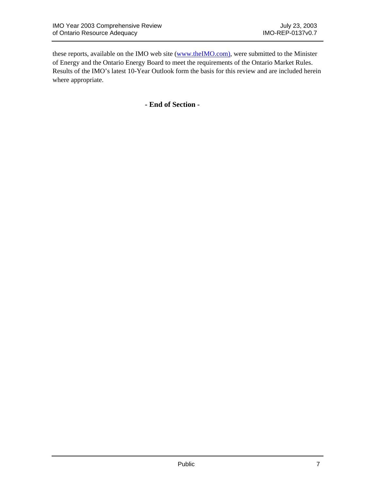these reports, available on the IMO web site ([www.theIMO.com\)](http://www.theimo.com)/), were submitted to the Minister of Energy and the Ontario Energy Board to meet the requirements of the Ontario Market Rules. Results of the IMO's latest 10-Year Outlook form the basis for this review and are included herein where appropriate.

**- End of Section -**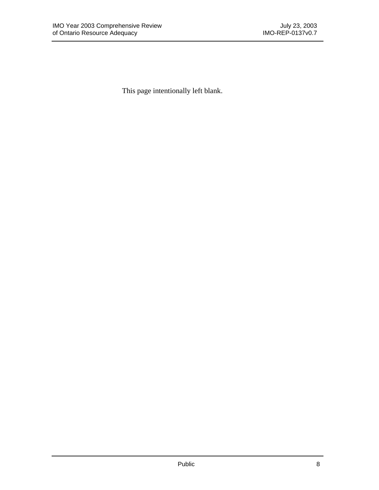This page intentionally left blank.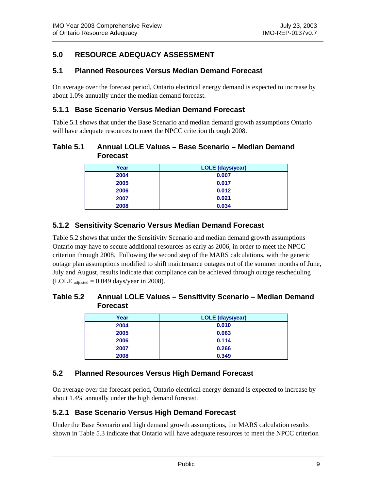### <span id="page-16-0"></span>**5.0 RESOURCE ADEQUACY ASSESSMENT**

#### **5.1 Planned Resources Versus Median Demand Forecast**

On average over the forecast period, Ontario electrical energy demand is expected to increase by about 1.0% annually under the median demand forecast.

#### **5.1.1 Base Scenario Versus Median Demand Forecast**

Table 5.1 shows that under the Base Scenario and median demand growth assumptions Ontario will have adequate resources to meet the NPCC criterion through 2008.

#### **Table 5.1 Annual LOLE Values – Base Scenario – Median Demand Forecast**

| Year | LOLE (days/year) |
|------|------------------|
| 2004 | 0.007            |
| 2005 | 0.017            |
| 2006 | 0.012            |
| 2007 | 0.021            |
| 2008 | 0.034            |

#### **5.1.2 Sensitivity Scenario Versus Median Demand Forecast**

Table 5.2 shows that under the Sensitivity Scenario and median demand growth assumptions Ontario may have to secure additional resources as early as 2006, in order to meet the NPCC criterion through 2008. Following the second step of the MARS calculations, with the generic outage plan assumptions modified to shift maintenance outages out of the summer months of June, July and August, results indicate that compliance can be achieved through outage rescheduling (LOLE  $_{\text{adiusted}}$  = 0.049 days/year in 2008).

#### **Table 5.2 Annual LOLE Values – Sensitivity Scenario – Median Demand Forecast**

| Year | LOLE (days/year) |
|------|------------------|
| 2004 | 0.010            |
| 2005 | 0.063            |
| 2006 | 0.114            |
| 2007 | 0.266            |
| 2008 | 0.349            |

#### **5.2 Planned Resources Versus High Demand Forecast**

On average over the forecast period, Ontario electrical energy demand is expected to increase by about 1.4% annually under the high demand forecast.

#### **5.2.1 Base Scenario Versus High Demand Forecast**

Under the Base Scenario and high demand growth assumptions, the MARS calculation results shown in Table 5.3 indicate that Ontario will have adequate resources to meet the NPCC criterion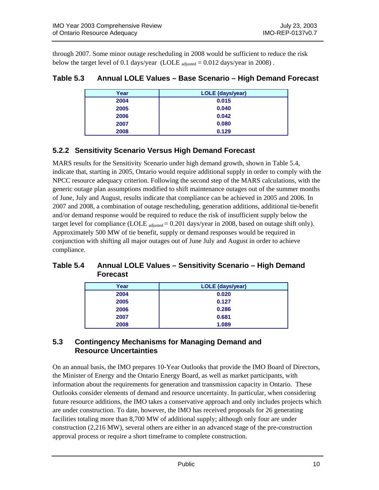<span id="page-17-0"></span>through 2007. Some minor outage rescheduling in 2008 would be sufficient to reduce the risk below the target level of 0.1 days/year (LOLE adjusted = 0.012 days/year in 2008).

| Year | LOLE (days/year) |
|------|------------------|
| 2004 | 0.015            |
| 2005 | 0.040            |
| 2006 | 0.042            |
| 2007 | 0.080            |
| 2008 | 0.129            |

### **Table 5.3 Annual LOLE Values – Base Scenario – High Demand Forecast**

### **5.2.2 Sensitivity Scenario Versus High Demand Forecast**

MARS results for the Sensitivity Scenario under high demand growth, shown in Table 5.4, indicate that, starting in 2005, Ontario would require additional supply in order to comply with the NPCC resource adequacy criterion. Following the second step of the MARS calculations, with the generic outage plan assumptions modified to shift maintenance outages out of the summer months of June, July and August, results indicate that compliance can be achieved in 2005 and 2006. In 2007 and 2008, a combination of outage rescheduling, generation additions, additional tie-benefit and/or demand response would be required to reduce the risk of insufficient supply below the target level for compliance (LOLE  $_{\text{adjusted}} = 0.201$  days/year in 2008, based on outage shift only). Approximately 500 MW of tie benefit, supply or demand responses would be required in conjunction with shifting all major outages out of June July and August in order to achieve compliance.

| Table 5.4 | <b>Annual LOLE Values - Sensitivity Scenario - High Demand</b> |
|-----------|----------------------------------------------------------------|
|           | <b>Forecast</b>                                                |

| Year | LOLE (days/year) |
|------|------------------|
| 2004 | 0.020            |
| 2005 | 0.127            |
| 2006 | 0.286            |
| 2007 | 0.681            |
| 2008 | 1.089            |

#### **5.3 Contingency Mechanisms for Managing Demand and Resource Uncertainties**

On an annual basis, the IMO prepares 10-Year Outlooks that provide the IMO Board of Directors, the Minister of Energy and the Ontario Energy Board, as well as market participants, with information about the requirements for generation and transmission capacity in Ontario. These Outlooks consider elements of demand and resource uncertainty. In particular, when considering future resource additions, the IMO takes a conservative approach and only includes projects which are under construction. To date, however, the IMO has received proposals for 26 generating facilities totaling more than 8,700 MW of additional supply; although only four are under construction (2,216 MW), several others are either in an advanced stage of the pre-construction approval process or require a short timeframe to complete construction.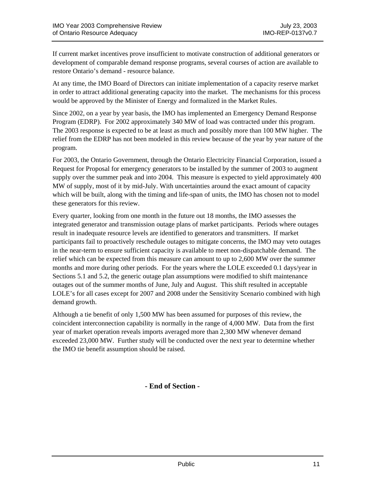If current market incentives prove insufficient to motivate construction of additional generators or development of comparable demand response programs, several courses of action are available to restore Ontario's demand - resource balance.

At any time, the IMO Board of Directors can initiate implementation of a capacity reserve market in order to attract additional generating capacity into the market. The mechanisms for this process would be approved by the Minister of Energy and formalized in the Market Rules.

Since 2002, on a year by year basis, the IMO has implemented an Emergency Demand Response Program (EDRP). For 2002 approximately 340 MW of load was contracted under this program. The 2003 response is expected to be at least as much and possibly more than 100 MW higher. The relief from the EDRP has not been modeled in this review because of the year by year nature of the program.

For 2003, the Ontario Government, through the Ontario Electricity Financial Corporation, issued a Request for Proposal for emergency generators to be installed by the summer of 2003 to augment supply over the summer peak and into 2004. This measure is expected to yield approximately 400 MW of supply, most of it by mid-July. With uncertainties around the exact amount of capacity which will be built, along with the timing and life-span of units, the IMO has chosen not to model these generators for this review.

Every quarter, looking from one month in the future out 18 months, the IMO assesses the integrated generator and transmission outage plans of market participants. Periods where outages result in inadequate resource levels are identified to generators and transmitters. If market participants fail to proactively reschedule outages to mitigate concerns, the IMO may veto outages in the near-term to ensure sufficient capacity is available to meet non-dispatchable demand. The relief which can be expected from this measure can amount to up to 2,600 MW over the summer months and more during other periods. For the years where the LOLE exceeded 0.1 days/year in Sections 5.1 and 5.2, the generic outage plan assumptions were modified to shift maintenance outages out of the summer months of June, July and August. This shift resulted in acceptable LOLE's for all cases except for 2007 and 2008 under the Sensitivity Scenario combined with high demand growth.

Although a tie benefit of only 1,500 MW has been assumed for purposes of this review, the coincident interconnection capability is normally in the range of 4,000 MW. Data from the first year of market operation reveals imports averaged more than 2,300 MW whenever demand exceeded 23,000 MW. Further study will be conducted over the next year to determine whether the IMO tie benefit assumption should be raised.

**- End of Section -**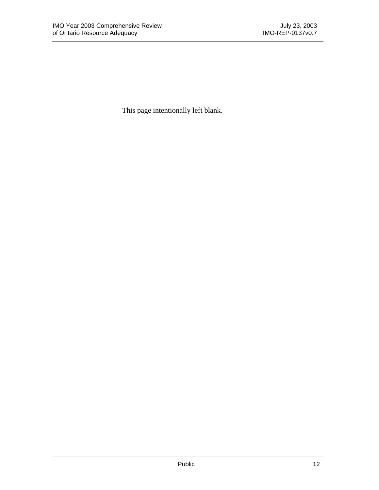This page intentionally left blank.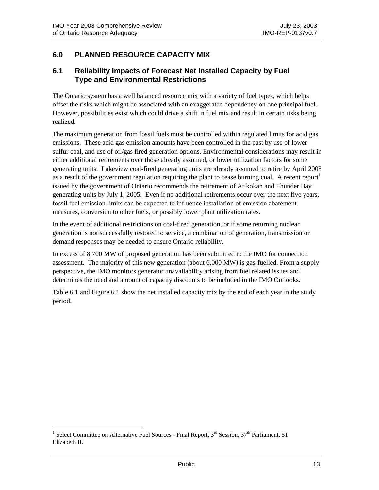### <span id="page-20-0"></span>**6.0 PLANNED RESOURCE CAPACITY MIX**

#### **6.1 Reliability Impacts of Forecast Net Installed Capacity by Fuel Type and Environmental Restrictions**

The Ontario system has a well balanced resource mix with a variety of fuel types, which helps offset the risks which might be associated with an exaggerated dependency on one principal fuel. However, possibilities exist which could drive a shift in fuel mix and result in certain risks being realized.

The maximum generation from fossil fuels must be controlled within regulated limits for acid gas emissions. These acid gas emission amounts have been controlled in the past by use of lower sulfur coal, and use of oil/gas fired generation options. Environmental considerations may result in either additional retirements over those already assumed, or lower utilization factors for some generating units. Lakeview coal-fired generating units are already assumed to retire by April 2005 as a result of the government regulation requiring the plant to cease burning coal. A recent report issued by the government of Ontario recommends the retirement of Atikokan and Thunder Bay generating units by July 1, 2005. Even if no additional retirements occur over the next five years, fossil fuel emission limits can be expected to influence installation of emission abatement measures, conversion to other fuels, or possibly lower plant utilization rates.

In the event of additional restrictions on coal-fired generation, or if some returning nuclear generation is not successfully restored to service, a combination of generation, transmission or demand responses may be needed to ensure Ontario reliability.

In excess of 8,700 MW of proposed generation has been submitted to the IMO for connection assessment. The majority of this new generation (about 6,000 MW) is gas-fuelled. From a supply perspective, the IMO monitors generator unavailability arising from fuel related issues and determines the need and amount of capacity discounts to be included in the IMO Outlooks.

Table 6.1 and Figure 6.1 show the net installed capacity mix by the end of each year in the study period.

 $\overline{a}$ 

<span id="page-20-1"></span><sup>&</sup>lt;sup>1</sup> Select Committee on Alternative Fuel Sources - Final Report,  $3^{rd}$  Session,  $37^{th}$  Parliament, 51 Elizabeth II.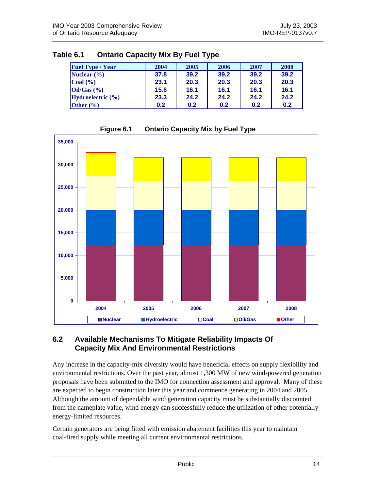<span id="page-21-0"></span>**Table 6.1 Ontario Capacity Mix By Fuel Type** 

| <b>Fuel Type</b> $\text{Year}$ | 2004 | 2005 | 2006 | 2007 | 2008             |
|--------------------------------|------|------|------|------|------------------|
| Nuclear $(\% )$                | 37.8 | 39.2 | 39.2 | 39.2 | 39.2             |
| $\vert$ Coal $\vert\%$         | 23.1 | 20.3 | 20.3 | 20.3 | 20.3             |
| $Oil/Gas$ $(\% )$              | 15.6 | 16.1 | 16.1 | 16.1 | 16.1             |
| Hydroelectric $(\% )$          | 23.3 | 24.2 | 24.2 | 24.2 | 24.2             |
| Other $(\% )$                  | 0.2  | 0.2  | 0.2  | 0.2  | 0.2 <sub>0</sub> |



**Figure 6.1 Ontario Capacity Mix by Fuel Type** 

## **6.2 Available Mechanisms To Mitigate Reliability Impacts Of Capacity Mix And Environmental Restrictions**

Any increase in the capacity-mix diversity would have beneficial effects on supply flexibility and environmental restrictions. Over the past year, almost 1,300 MW of new wind-powered generation proposals have been submitted to the IMO for connection assessment and approval. Many of these are expected to begin construction later this year and commence generating in 2004 and 2005. Although the amount of dependable wind generation capacity must be substantially discounted from the nameplate value, wind energy can successfully reduce the utilization of other potentially energy-limited resources.

Certain generators are being fitted with emission abatement facilities this year to maintain coal-fired supply while meeting all current environmental restrictions.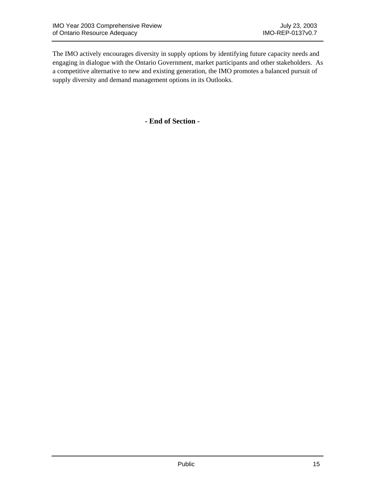The IMO actively encourages diversity in supply options by identifying future capacity needs and engaging in dialogue with the Ontario Government, market participants and other stakeholders. As a competitive alternative to new and existing generation, the IMO promotes a balanced pursuit of supply diversity and demand management options in its Outlooks.

**- End of Section -**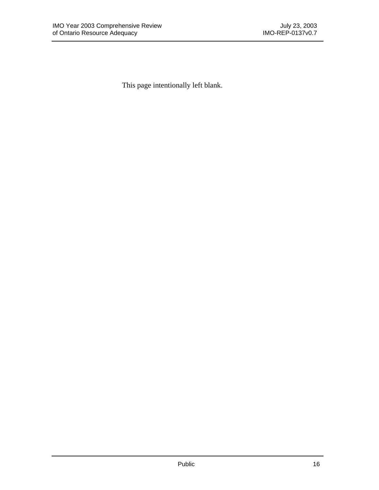This page intentionally left blank.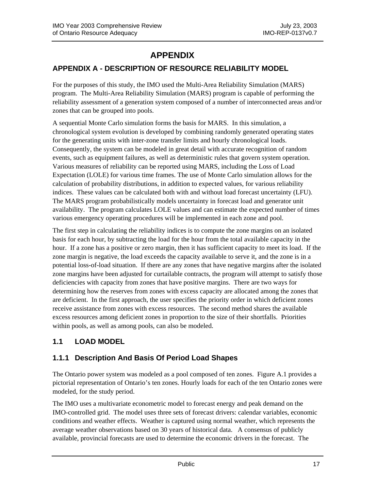# **APPENDIX**

### <span id="page-24-0"></span>**APPENDIX A - DESCRIPTION OF RESOURCE RELIABILITY MODEL**

For the purposes of this study, the IMO used the Multi-Area Reliability Simulation (MARS) program. The Multi-Area Reliability Simulation (MARS) program is capable of performing the reliability assessment of a generation system composed of a number of interconnected areas and/or zones that can be grouped into pools.

A sequential Monte Carlo simulation forms the basis for MARS. In this simulation, a chronological system evolution is developed by combining randomly generated operating states for the generating units with inter-zone transfer limits and hourly chronological loads. Consequently, the system can be modeled in great detail with accurate recognition of random events, such as equipment failures, as well as deterministic rules that govern system operation. Various measures of reliability can be reported using MARS, including the Loss of Load Expectation (LOLE) for various time frames. The use of Monte Carlo simulation allows for the calculation of probability distributions, in addition to expected values, for various reliability indices. These values can be calculated both with and without load forecast uncertainty (LFU). The MARS program probabilistically models uncertainty in forecast load and generator unit availability. The program calculates LOLE values and can estimate the expected number of times various emergency operating procedures will be implemented in each zone and pool.

The first step in calculating the reliability indices is to compute the zone margins on an isolated basis for each hour, by subtracting the load for the hour from the total available capacity in the hour. If a zone has a positive or zero margin, then it has sufficient capacity to meet its load. If the zone margin is negative, the load exceeds the capacity available to serve it, and the zone is in a potential loss-of-load situation. If there are any zones that have negative margins after the isolated zone margins have been adjusted for curtailable contracts, the program will attempt to satisfy those deficiencies with capacity from zones that have positive margins. There are two ways for determining how the reserves from zones with excess capacity are allocated among the zones that are deficient. In the first approach, the user specifies the priority order in which deficient zones receive assistance from zones with excess resources. The second method shares the available excess resources among deficient zones in proportion to the size of their shortfalls. Priorities within pools, as well as among pools, can also be modeled.

### **1.1 LOAD MODEL**

#### **1.1.1 Description And Basis Of Period Load Shapes**

The Ontario power system was modeled as a pool composed of ten zones. Figure A.1 provides a pictorial representation of Ontario's ten zones. Hourly loads for each of the ten Ontario zones were modeled, for the study period.

The IMO uses a multivariate econometric model to forecast energy and peak demand on the IMO-controlled grid. The model uses three sets of forecast drivers: calendar variables, economic conditions and weather effects. Weather is captured using normal weather, which represents the average weather observations based on 30 years of historical data. A consensus of publicly available, provincial forecasts are used to determine the economic drivers in the forecast. The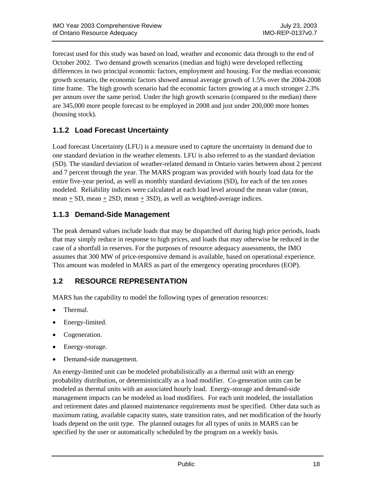<span id="page-25-0"></span>forecast used for this study was based on load, weather and economic data through to the end of October 2002. Two demand growth scenarios (median and high) were developed reflecting differences in two principal economic factors, employment and housing. For the median economic growth scenario, the economic factors showed annual average growth of 1.5% over the 2004-2008 time frame. The high growth scenario had the economic factors growing at a much stronger 2.3% per annum over the same period. Under the high growth scenario (compared to the median) there are 345,000 more people forecast to be employed in 2008 and just under 200,000 more homes (housing stock).

### **1.1.2 Load Forecast Uncertainty**

Load forecast Uncertainty (LFU) is a measure used to capture the uncertainty in demand due to one standard deviation in the weather elements. LFU is also referred to as the standard deviation (SD). The standard deviation of weather-related demand in Ontario varies between about 2 percent and 7 percent through the year. The MARS program was provided with hourly load data for the entire five-year period, as well as monthly standard deviations (SD), for each of the ten zones modeled. Reliability indices were calculated at each load level around the mean value (mean, mean + SD, mean + 2SD, mean + 3SD), as well as weighted-average indices.

#### **1.1.3 Demand-Side Management**

The peak demand values include loads that may be dispatched off during high price periods, loads that may simply reduce in response to high prices, and loads that may otherwise be reduced in the case of a shortfall in reserves. For the purposes of resource adequacy assessments, the IMO assumes that 300 MW of price-responsive demand is available, based on operational experience. This amount was modeled in MARS as part of the emergency operating procedures (EOP).

#### **1.2 RESOURCE REPRESENTATION**

MARS has the capability to model the following types of generation resources:

- Thermal.
- Energy-limited.
- Cogeneration.
- Energy-storage.
- Demand-side management.

An energy-limited unit can be modeled probabilistically as a thermal unit with an energy probability distribution, or deterministically as a load modifier. Co-generation units can be modeled as thermal units with an associated hourly load. Energy-storage and demand-side management impacts can be modeled as load modifiers. For each unit modeled, the installation and retirement dates and planned maintenance requirements must be specified. Other data such as maximum rating, available capacity states, state transition rates, and net modification of the hourly loads depend on the unit type. The planned outages for all types of units in MARS can be specified by the user or automatically scheduled by the program on a weekly basis.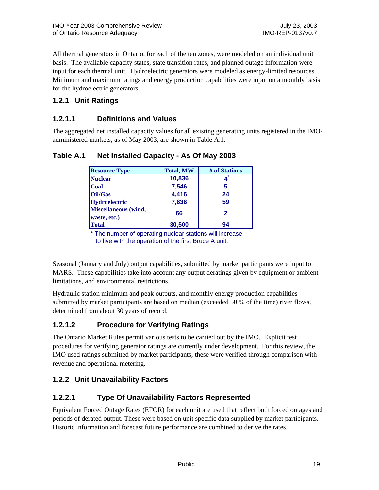<span id="page-26-0"></span>All thermal generators in Ontario, for each of the ten zones, were modeled on an individual unit basis. The available capacity states, state transition rates, and planned outage information were input for each thermal unit. Hydroelectric generators were modeled as energy-limited resources. Minimum and maximum ratings and energy production capabilities were input on a monthly basis for the hydroelectric generators.

### **1.2.1 Unit Ratings**

### **1.2.1.1 Definitions and Values**

The aggregated net installed capacity values for all existing generating units registered in the IMOadministered markets, as of May 2003, are shown in Table A.1.

**Table A.1 Net Installed Capacity - As Of May 2003** 

| <b>Resource Type</b>                 | <b>Total, MW</b> | # of Stations |
|--------------------------------------|------------------|---------------|
| <b>Nuclear</b>                       | 10,836           |               |
| <b>Coal</b>                          | 7,546            | 5             |
| Oil/Gas                              | 4,416            | 24            |
| <b>Hydroelectric</b>                 | 7,636            | 59            |
| Miscellaneous (wind,<br>waste, etc.) | 66               |               |
| Total                                | 30,500           | 94            |

\* The number of operating nuclear stations will increase to five with the operation of the first Bruce A unit.

Seasonal (January and July) output capabilities, submitted by market participants were input to MARS. These capabilities take into account any output deratings given by equipment or ambient limitations, and environmental restrictions.

Hydraulic station minimum and peak outputs, and monthly energy production capabilities submitted by market participants are based on median (exceeded 50 % of the time) river flows, determined from about 30 years of record.

### **1.2.1.2 Procedure for Verifying Ratings**

The Ontario Market Rules permit various tests to be carried out by the IMO. Explicit test procedures for verifying generator ratings are currently under development. For this review, the IMO used ratings submitted by market participants; these were verified through comparison with revenue and operational metering.

### **1.2.2 Unit Unavailability Factors**

### **1.2.2.1 Type Of Unavailability Factors Represented**

Equivalent Forced Outage Rates (EFOR) for each unit are used that reflect both forced outages and periods of derated output. These were based on unit specific data supplied by market participants. Historic information and forecast future performance are combined to derive the rates.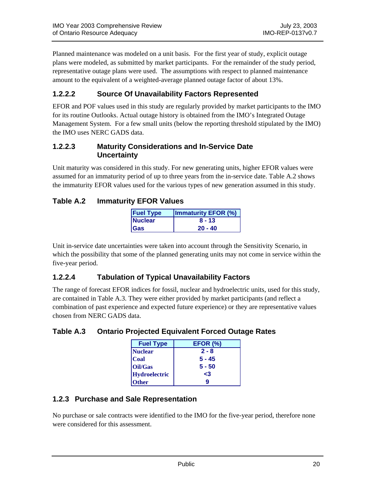<span id="page-27-0"></span>Planned maintenance was modeled on a unit basis. For the first year of study, explicit outage plans were modeled, as submitted by market participants. For the remainder of the study period, representative outage plans were used. The assumptions with respect to planned maintenance amount to the equivalent of a weighted-average planned outage factor of about 13%.

### **1.2.2.2 Source Of Unavailability Factors Represented**

EFOR and POF values used in this study are regularly provided by market participants to the IMO for its routine Outlooks. Actual outage history is obtained from the IMO's Integrated Outage Management System. For a few small units (below the reporting threshold stipulated by the IMO) the IMO uses NERC GADS data.

#### **1.2.2.3 Maturity Considerations and In-Service Date Uncertainty**

Unit maturity was considered in this study. For new generating units, higher EFOR values were assumed for an immaturity period of up to three years from the in-service date. Table A.2 shows the immaturity EFOR values used for the various types of new generation assumed in this study.

### **Table A.2 Immaturity EFOR Values**

| <b>Fuel Type</b> | <b>Immaturity EFOR (%)</b> |  |
|------------------|----------------------------|--|
| <b>Nuclear</b>   | $8 - 13$                   |  |
| Gas              | $20 - 40$                  |  |

Unit in-service date uncertainties were taken into account through the Sensitivity Scenario, in which the possibility that some of the planned generating units may not come in service within the five-year period.

### **1.2.2.4 Tabulation of Typical Unavailability Factors**

The range of forecast EFOR indices for fossil, nuclear and hydroelectric units, used for this study, are contained in Table A.3. They were either provided by market participants (and reflect a combination of past experience and expected future experience) or they are representative values chosen from NERC GADS data.

| Table A.3 | <b>Ontario Projected Equivalent Forced Outage Rates</b> |
|-----------|---------------------------------------------------------|
|-----------|---------------------------------------------------------|

| <b>Fuel Type</b> | EFOR $(\%)$ |
|------------------|-------------|
| <b>Nuclear</b>   | $2 - 8$     |
| Coal             | 5 - 45      |
| Oil/Gas          | 5 - 50      |
| Hydroelectric    | د>          |
| ther             | g           |

### **1.2.3 Purchase and Sale Representation**

No purchase or sale contracts were identified to the IMO for the five-year period, therefore none were considered for this assessment.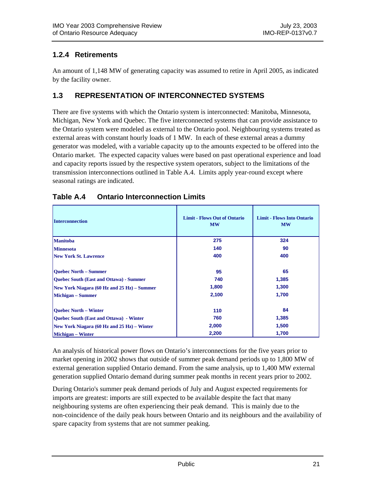### <span id="page-28-0"></span>**1.2.4 Retirements**

An amount of 1,148 MW of generating capacity was assumed to retire in April 2005, as indicated by the facility owner.

### **1.3 REPRESENTATION OF INTERCONNECTED SYSTEMS**

There are five systems with which the Ontario system is interconnected: Manitoba, Minnesota, Michigan, New York and Quebec. The five interconnected systems that can provide assistance to the Ontario system were modeled as external to the Ontario pool. Neighbouring systems treated as external areas with constant hourly loads of 1 MW. In each of these external areas a dummy generator was modeled, with a variable capacity up to the amounts expected to be offered into the Ontario market. The expected capacity values were based on past operational experience and load and capacity reports issued by the respective system operators, subject to the limitations of the transmission interconnections outlined in Table A.4. Limits apply year-round except where seasonal ratings are indicated.

| <b>Interconnection</b>                      | <b>Limit - Flows Out of Ontario</b><br><b>MW</b> | <b>Limit - Flows Into Ontario</b><br><b>MW</b> |
|---------------------------------------------|--------------------------------------------------|------------------------------------------------|
| <b>Manitoba</b>                             | 275                                              | 324                                            |
| <b>Minnesota</b>                            | 140                                              | 90                                             |
| <b>New York St. Lawrence</b>                | 400                                              | 400                                            |
| <b>Quebec North - Summer</b>                | 95                                               | 65                                             |
| Quebec South (East and Ottawa) - Summer     | 740                                              | 1,385                                          |
| New York Niagara (60 Hz and 25 Hz) – Summer | 1,800                                            | 1,300                                          |
| Michigan – Summer                           | 2,100                                            | 1,700                                          |
| <b>Quebec North – Winter</b>                | 110                                              | 84                                             |
| Quebec South (East and Ottawa) - Winter     | 760                                              | 1,385                                          |
| New York Niagara (60 Hz and 25 Hz) – Winter | 2,000                                            | 1,500                                          |
| <b>Michigan</b> – Winter                    | 2,200                                            | 1,700                                          |

#### **Table A.4 Ontario Interconnection Limits**

An analysis of historical power flows on Ontario's interconnections for the five years prior to market opening in 2002 shows that outside of summer peak demand periods up to 1,800 MW of external generation supplied Ontario demand. From the same analysis, up to 1,400 MW external generation supplied Ontario demand during summer peak months in recent years prior to 2002.

During Ontario's summer peak demand periods of July and August expected requirements for imports are greatest: imports are still expected to be available despite the fact that many neighbouring systems are often experiencing their peak demand. This is mainly due to the non-coincidence of the daily peak hours between Ontario and its neighbours and the availability of spare capacity from systems that are not summer peaking.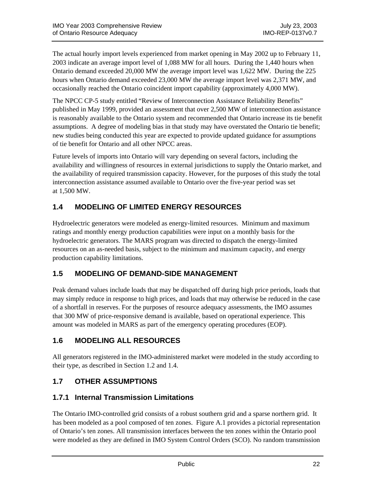<span id="page-29-0"></span>The actual hourly import levels experienced from market opening in May 2002 up to February 11, 2003 indicate an average import level of 1,088 MW for all hours. During the 1,440 hours when Ontario demand exceeded 20,000 MW the average import level was 1,622 MW. During the 225 hours when Ontario demand exceeded 23,000 MW the average import level was 2,371 MW, and occasionally reached the Ontario coincident import capability (approximately 4,000 MW).

The NPCC CP-5 study entitled "Review of Interconnection Assistance Reliability Benefits" published in May 1999, provided an assessment that over 2,500 MW of interconnection assistance is reasonably available to the Ontario system and recommended that Ontario increase its tie benefit assumptions. A degree of modeling bias in that study may have overstated the Ontario tie benefit; new studies being conducted this year are expected to provide updated guidance for assumptions of tie benefit for Ontario and all other NPCC areas.

Future levels of imports into Ontario will vary depending on several factors, including the availability and willingness of resources in external jurisdictions to supply the Ontario market, and the availability of required transmission capacity. However, for the purposes of this study the total interconnection assistance assumed available to Ontario over the five-year period was set at 1,500 MW.

### **1.4 MODELING OF LIMITED ENERGY RESOURCES**

Hydroelectric generators were modeled as energy-limited resources. Minimum and maximum ratings and monthly energy production capabilities were input on a monthly basis for the hydroelectric generators. The MARS program was directed to dispatch the energy-limited resources on an as-needed basis, subject to the minimum and maximum capacity, and energy production capability limitations.

#### **1.5 MODELING OF DEMAND-SIDE MANAGEMENT**

Peak demand values include loads that may be dispatched off during high price periods, loads that may simply reduce in response to high prices, and loads that may otherwise be reduced in the case of a shortfall in reserves. For the purposes of resource adequacy assessments, the IMO assumes that 300 MW of price-responsive demand is available, based on operational experience. This amount was modeled in MARS as part of the emergency operating procedures (EOP).

### **1.6 MODELING ALL RESOURCES**

All generators registered in the IMO-administered market were modeled in the study according to their type, as described in Section 1.2 and 1.4.

### **1.7 OTHER ASSUMPTIONS**

### **1.7.1 Internal Transmission Limitations**

The Ontario IMO-controlled grid consists of a robust southern grid and a sparse northern grid. It has been modeled as a pool composed of ten zones. Figure A.1 provides a pictorial representation of Ontario's ten zones. All transmission interfaces between the ten zones within the Ontario pool were modeled as they are defined in IMO System Control Orders (SCO). No random transmission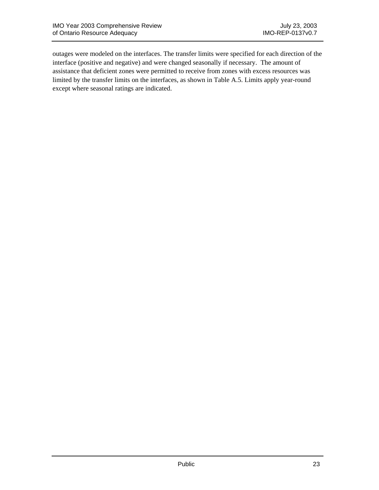outages were modeled on the interfaces. The transfer limits were specified for each direction of the interface (positive and negative) and were changed seasonally if necessary. The amount of assistance that deficient zones were permitted to receive from zones with excess resources was limited by the transfer limits on the interfaces, as shown in Table A.5. Limits apply year-round except where seasonal ratings are indicated.